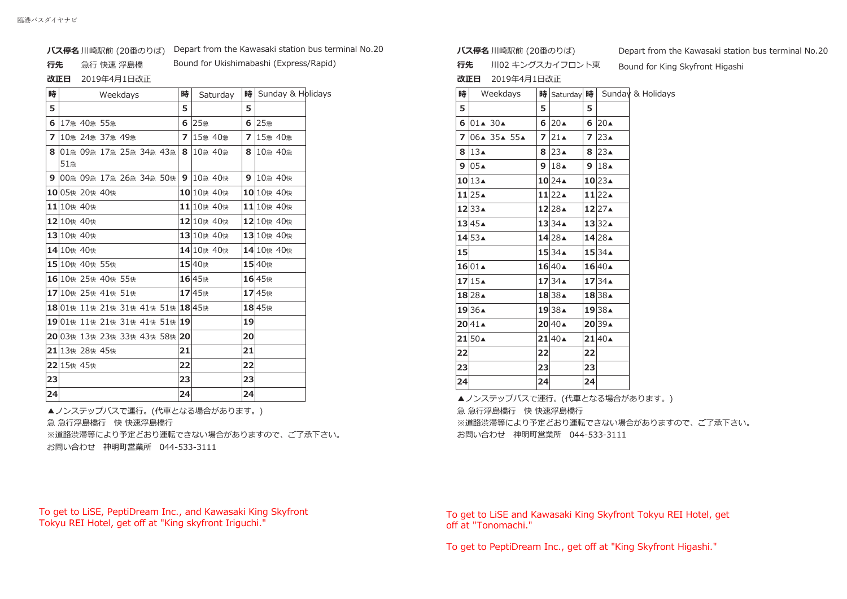### **バス停名** 川崎駅前 (20番のりば) Depart from the Kawasaki station bus terminal No.20

#### **ষ**急行 快速 浮島橋

Bound for Ukishimabashi (Express/Rapid)

## **改正日** 2019年4月1日改正

| 時  |            |                    | Weekdays                        |  | 時              |            | Saturday   | 時  | Sunday & Holic |  |  |
|----|------------|--------------------|---------------------------------|--|----------------|------------|------------|----|----------------|--|--|
| 5  |            |                    |                                 |  | 5              |            |            | 5  |                |  |  |
| 6  |            | 17急 40急 55急        |                                 |  | 6              | 25急        |            | 6  | 25急            |  |  |
| 7  |            | 10急 24急 37急 49急    |                                 |  | $\overline{ }$ |            | 15急 40急    | 7  | 15急 40急        |  |  |
| 8  |            |                    | 01急 09急 17急 25急 34急 43急         |  | 8              |            | 10急 40急    | 8  | 10急 40急        |  |  |
|    | 51急        |                    |                                 |  |                |            |            |    |                |  |  |
| 9  |            |                    | 00急 09急 17急 26急 34急 50快         |  | 9              |            | 10急 40快    | 9  | 10急 40快        |  |  |
|    |            | 10 05快 20快 40快     |                                 |  |                | 10 10快 40快 |            |    | 10 10快 40快     |  |  |
|    | 11 10快 40快 |                    |                                 |  |                |            | 11 10快 40快 |    | 11 10快 40快     |  |  |
|    | 12 10快 40快 |                    |                                 |  |                |            | 12 10快 40快 |    | 12 10快 40快     |  |  |
|    | 13 10快 40快 |                    |                                 |  |                |            | 13 10快 40快 |    | 13 10快 40快     |  |  |
|    | 14 10快 40快 |                    |                                 |  |                |            | 14 10快 40快 |    | 14 10快 40快     |  |  |
|    |            | 15 10快 40快 55快     |                                 |  |                | 15 40快     |            |    | 15 40快         |  |  |
|    |            | 16 10快 25快 40快 55快 |                                 |  |                | 16 45快     |            |    | 16 45快         |  |  |
|    |            | 17 10快 25快 41快 51快 |                                 |  |                | 1745快      |            |    | 17 45快         |  |  |
|    |            |                    | 1801快 11快 21快 31快 41快 51快 1845快 |  |                |            |            |    | 18 45快         |  |  |
|    |            |                    | 1901快 11快 21快 31快 41快 51快 19    |  |                |            |            | 19 |                |  |  |
|    |            |                    | 20 03快 13快 23快 33快 43快 58快 20   |  |                |            |            | 20 |                |  |  |
|    |            | 21 13快 28快 45快     |                                 |  | 21             |            |            | 21 |                |  |  |
|    | 22 15快 45快 |                    |                                 |  | 22             |            |            | 22 |                |  |  |
| 23 |            |                    |                                 |  | 23             |            |            | 23 |                |  |  |
| 24 |            |                    |                                 |  | 24             |            |            | 24 |                |  |  |

▲ノンステップバスで運行。(代車となる場合があります。) 急 急行浮島橋行 快 快速浮島橋行 ※道路渋滞等により予定どおり運転できない場合がありますので、ご了承下さい。 お問い合わせ 神明町営業所 044-533-3111

# To get to LiSE, PeptiDream Inc., and Kawasaki King Skyfront Tokyu REI Hotel, get off at "King skyfront Iriguchi."

**バス停名** 川崎駅前 (20番のりば)

**行先** 川02 キングスカイフロント東

**改正日** 2019年4月1日改正

| y | 時              | Sunday & Holidays | 時  | Weekdays                        |                | 時 Saturday 時         |    |                          | Sunday & Holidays |
|---|----------------|-------------------|----|---------------------------------|----------------|----------------------|----|--------------------------|-------------------|
|   | 5              |                   | 5  |                                 | 5              |                      | 5  |                          |                   |
|   |                | 6 25急             |    | 6 01 $\triangle$ 30 $\triangle$ | 6              | $20\blacktriangle$   |    | 620 <sub>A</sub>         |                   |
|   | $\overline{7}$ | 15急 40急           |    | $7 06*35*55*$                   | $\overline{z}$ | 21 <sub>4</sub>      |    | 7 23                     |                   |
|   | 8              | 10急 40急           |    | 8 $13A$                         |                | 8 $23A$              |    | $8 23 \triangle$         |                   |
|   |                |                   |    | $9 05 \triangle$                | 9              | 18 <sub>4</sub>      |    | 9 $18$                   |                   |
|   | 9              | 10急 40快           |    | $10$ 13 $\triangle$             |                | $10$ 24 $\triangle$  |    | $10$ 23 $\triangle$      |                   |
|   |                | 10 10快 40快        |    | $11$  25 $\triangle$            |                | $11$  22 $\triangle$ |    | $11$ 22 $\triangle$      |                   |
|   |                | 11 10快 40快        |    | $12 33 \triangle$               |                | $12$ 28 $\triangle$  |    | $12$ 27 $\blacktriangle$ |                   |
|   |                | 12 10快 40快        |    | $13 45 \triangle$               |                | 1334A                |    | 1332A                    |                   |
|   |                | 13 10快 40快        |    | $14\overline{53}$               |                | $14$ 28 $\triangle$  |    | 14 28 ▲                  |                   |
|   |                | 14 10快 40快        | 15 |                                 |                | 1534A                |    | 1534A                    |                   |
|   |                | 15 40快            |    | 1601A                           |                | $16 40 \triangle$    |    | 1640A                    |                   |
|   |                | 16 45快            |    | 1715A                           |                | $1734 \triangle$     |    | 1734A                    |                   |
|   |                | 17 45快            |    | $18$ 28 $\triangle$             |                | 1838A                |    | 18 38▲                   |                   |
|   |                | 18 45快            |    | 19 36▲                          |                | 19 38▲               |    | 19 38▲                   |                   |
|   | 19             |                   |    | $20 41 \triangle$               |                | $20$ 40 $\triangle$  |    | 20 39▲                   |                   |
|   | 20             |                   |    | $21$ 50 $\triangle$             |                | $21 40 \triangle$    |    | $21 40 \triangle$        |                   |
|   | 21             |                   | 22 |                                 | 22             |                      | 22 |                          |                   |
|   | 22             |                   | 23 |                                 | 23             |                      | 23 |                          |                   |
|   | 23             |                   | 24 |                                 | 24             |                      | 24 |                          |                   |
|   |                |                   |    |                                 |                |                      |    |                          |                   |

▲ノンステップバスで運行。(代車となる場合があります。)

急 急行浮島橋行 快 快速浮島橋行

※道路渋滞等により予定どおり運転できない場合がありますので、ご了承下さい。 お問い合わせ 神明町営業所 044-533-3111

# To get to LiSE and Kawasaki King Skyfront Tokyu REI Hotel, get off at "Tonomachi."

To get to PeptiDream Inc., get off at "King Skyfront Higashi."

Depart from the Kawasaki station bus terminal No.20

Bound for King Skyfront Higashi